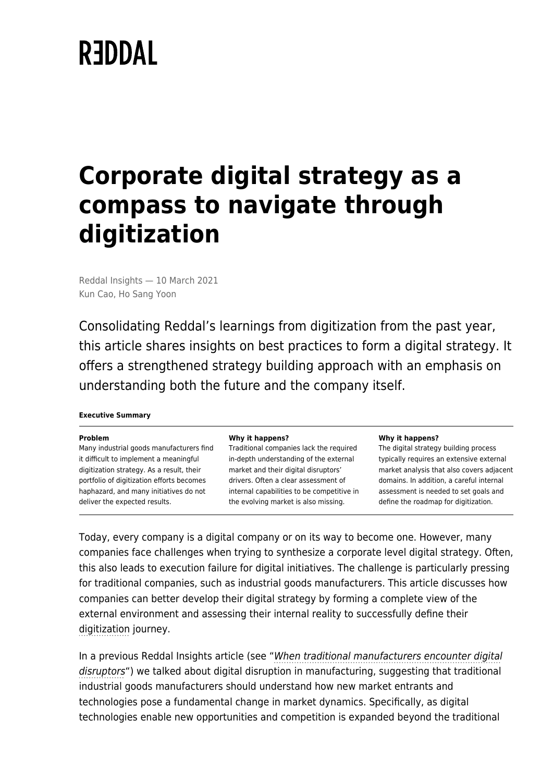# **REDDAL**

# **Corporate digital strategy as a compass to navigate through digitization**

Reddal Insights — 10 March 2021 Kun Cao, Ho Sang Yoon

Consolidating Reddal's learnings from digitization from the past year, this article shares insights on best practices to form a digital strategy. It offers a strengthened strategy building approach with an emphasis on understanding both the future and the company itself.

#### **Executive Summary**

#### **Problem**

Many industrial goods manufacturers find it difficult to implement a meaningful digitization strategy. As a result, their portfolio of digitization efforts becomes haphazard, and many initiatives do not deliver the expected results.

#### **Why it happens?**

Traditional companies lack the required in-depth understanding of the external market and their digital disruptors' drivers. Often a clear assessment of internal capabilities to be competitive in the evolving market is also missing.

#### **Why it happens?**

The digital strategy building process typically requires an extensive external market analysis that also covers adjacent domains. In addition, a careful internal assessment is needed to set goals and define the roadmap for digitization.

Today, every company is a digital company or on its way to become one. However, many companies face challenges when trying to synthesize a corporate level digital strategy. Often, this also leads to execution failure for digital initiatives. The challenge is particularly pressing for traditional companies, such as industrial goods manufacturers. This article discusses how companies can better develop their digital strategy by forming a complete view of the external environment and assessing their internal reality to successfully define their [digitization](https://www.reddal.com/expertise/digitization/) journey.

In a previous Reddal Insights article (see "[When traditional manufacturers encounter digital](http://www.reddal.com/insights/when-traditional-manufacturers-encounter-digital-disruptors-collaborate-and-compete-on-industrial-digital-solutions/) [disruptors](http://www.reddal.com/insights/when-traditional-manufacturers-encounter-digital-disruptors-collaborate-and-compete-on-industrial-digital-solutions/)") we talked about digital disruption in manufacturing, suggesting that traditional industrial goods manufacturers should understand how new market entrants and technologies pose a fundamental change in market dynamics. Specifically, as digital technologies enable new opportunities and competition is expanded beyond the traditional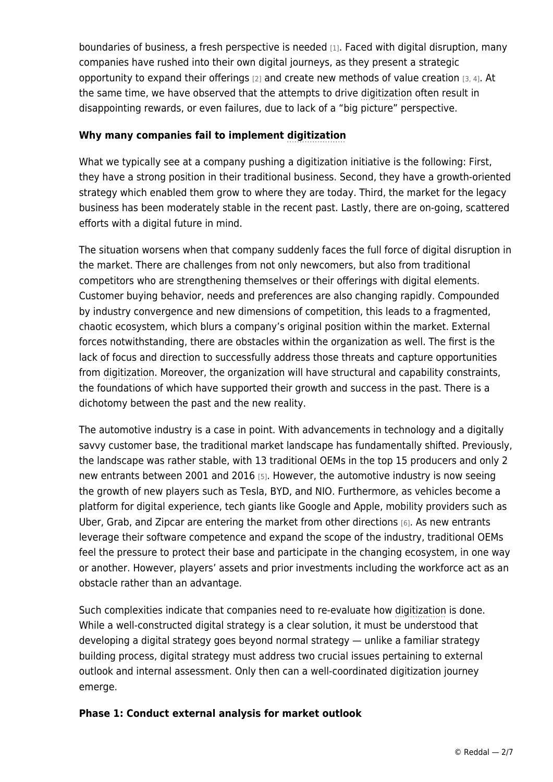boundaries of business, a fresh perspective is needed [1]. Faced with digital disruption, many companies have rushed into their own digital journeys, as they present a strategic opportunity to expand their offerings [2] and create new methods of value creation [3, 4]. At the same time, we have observed that the attempts to drive [digitization](https://www.reddal.com/expertise/digitization/) often result in disappointing rewards, or even failures, due to lack of a "big picture" perspective.

# **Why many companies fail to implement [digitization](https://www.reddal.com/expertise/digitization/)**

What we typically see at a company pushing a digitization initiative is the following: First, they have a strong position in their traditional business. Second, they have a growth-oriented strategy which enabled them grow to where they are today. Third, the market for the legacy business has been moderately stable in the recent past. Lastly, there are on-going, scattered efforts with a digital future in mind.

The situation worsens when that company suddenly faces the full force of digital disruption in the market. There are challenges from not only newcomers, but also from traditional competitors who are strengthening themselves or their offerings with digital elements. Customer buying behavior, needs and preferences are also changing rapidly. Compounded by industry convergence and new dimensions of competition, this leads to a fragmented, chaotic ecosystem, which blurs a company's original position within the market. External forces notwithstanding, there are obstacles within the organization as well. The first is the lack of focus and direction to successfully address those threats and capture opportunities from [digitization](https://www.reddal.com/expertise/digitization/). Moreover, the organization will have structural and capability constraints, the foundations of which have supported their growth and success in the past. There is a dichotomy between the past and the new reality.

The automotive industry is a case in point. With advancements in technology and a digitally savvy customer base, the traditional market landscape has fundamentally shifted. Previously, the landscape was rather stable, with 13 traditional OEMs in the top 15 producers and only 2 new entrants between 2001 and 2016 [5]. However, the automotive industry is now seeing the growth of new players such as Tesla, BYD, and NIO. Furthermore, as vehicles become a platform for digital experience, tech giants like Google and Apple, mobility providers such as Uber, Grab, and Zipcar are entering the market from other directions [6]. As new entrants leverage their software competence and expand the scope of the industry, traditional OEMs feel the pressure to protect their base and participate in the changing ecosystem, in one way or another. However, players' assets and prior investments including the workforce act as an obstacle rather than an advantage.

Such complexities indicate that companies need to re-evaluate how [digitization](https://www.reddal.com/expertise/digitization/) is done. While a well-constructed digital strategy is a clear solution, it must be understood that developing a digital strategy goes beyond normal strategy — unlike a familiar strategy building process, digital strategy must address two crucial issues pertaining to external outlook and internal assessment. Only then can a well-coordinated digitization journey emerge.

### **Phase 1: Conduct external analysis for market outlook**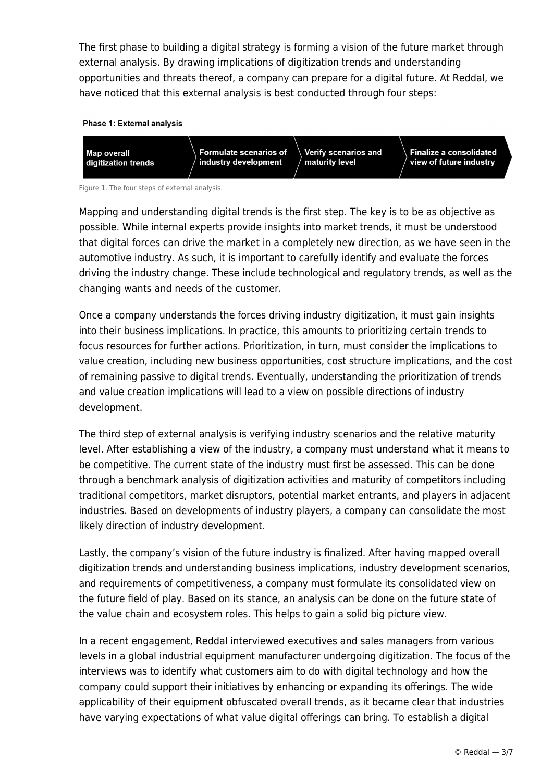The first phase to building a digital strategy is forming a vision of the future market through external analysis. By drawing implications of digitization trends and understanding opportunities and threats thereof, a company can prepare for a digital future. At Reddal, we have noticed that this external analysis is best conducted through four steps:



Figure 1. The four steps of external analysis.

Mapping and understanding digital trends is the first step. The key is to be as objective as possible. While internal experts provide insights into market trends, it must be understood that digital forces can drive the market in a completely new direction, as we have seen in the automotive industry. As such, it is important to carefully identify and evaluate the forces driving the industry change. These include technological and regulatory trends, as well as the changing wants and needs of the customer.

Once a company understands the forces driving industry digitization, it must gain insights into their business implications. In practice, this amounts to prioritizing certain trends to focus resources for further actions. Prioritization, in turn, must consider the implications to value creation, including new business opportunities, cost structure implications, and the cost of remaining passive to digital trends. Eventually, understanding the prioritization of trends and value creation implications will lead to a view on possible directions of industry development.

The third step of external analysis is verifying industry scenarios and the relative maturity level. After establishing a view of the industry, a company must understand what it means to be competitive. The current state of the industry must first be assessed. This can be done through a benchmark analysis of digitization activities and maturity of competitors including traditional competitors, market disruptors, potential market entrants, and players in adjacent industries. Based on developments of industry players, a company can consolidate the most likely direction of industry development.

Lastly, the company's vision of the future industry is finalized. After having mapped overall digitization trends and understanding business implications, industry development scenarios, and requirements of competitiveness, a company must formulate its consolidated view on the future field of play. Based on its stance, an analysis can be done on the future state of the value chain and ecosystem roles. This helps to gain a solid big picture view.

In a recent engagement, Reddal interviewed executives and sales managers from various levels in a global industrial equipment manufacturer undergoing digitization. The focus of the interviews was to identify what customers aim to do with digital technology and how the company could support their initiatives by enhancing or expanding its offerings. The wide applicability of their equipment obfuscated overall trends, as it became clear that industries have varying expectations of what value digital offerings can bring. To establish a digital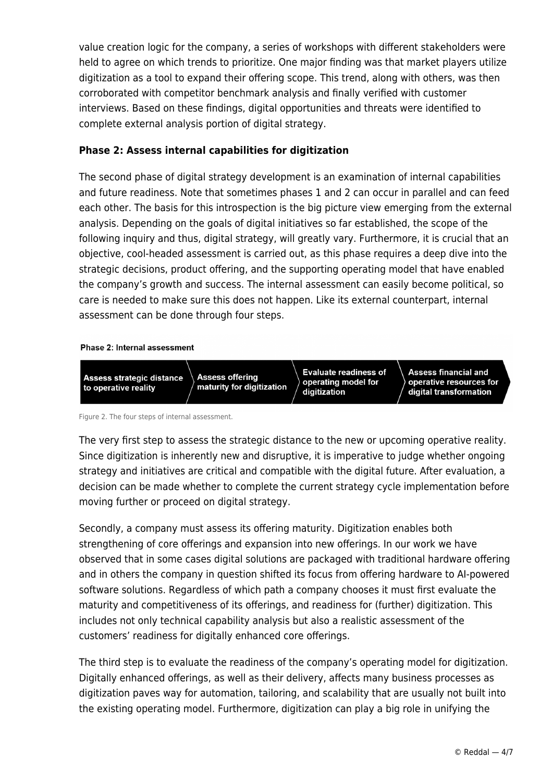value creation logic for the company, a series of workshops with different stakeholders were held to agree on which trends to prioritize. One major finding was that market players utilize digitization as a tool to expand their offering scope. This trend, along with others, was then corroborated with competitor benchmark analysis and finally verified with customer interviews. Based on these findings, digital opportunities and threats were identified to complete external analysis portion of digital strategy.

# **Phase 2: Assess internal capabilities for digitization**

The second phase of digital strategy development is an examination of internal capabilities and future readiness. Note that sometimes phases 1 and 2 can occur in parallel and can feed each other. The basis for this introspection is the big picture view emerging from the external analysis. Depending on the goals of digital initiatives so far established, the scope of the following inquiry and thus, digital strategy, will greatly vary. Furthermore, it is crucial that an objective, cool-headed assessment is carried out, as this phase requires a deep dive into the strategic decisions, product offering, and the supporting operating model that have enabled the company's growth and success. The internal assessment can easily become political, so care is needed to make sure this does not happen. Like its external counterpart, internal assessment can be done through four steps.

#### Phase 2: Internal assessment



Figure 2. The four steps of internal assessment.

The very first step to assess the strategic distance to the new or upcoming operative reality. Since digitization is inherently new and disruptive, it is imperative to judge whether ongoing strategy and initiatives are critical and compatible with the digital future. After evaluation, a decision can be made whether to complete the current strategy cycle implementation before moving further or proceed on digital strategy.

Secondly, a company must assess its offering maturity. Digitization enables both strengthening of core offerings and expansion into new offerings. In our work we have observed that in some cases digital solutions are packaged with traditional hardware offering and in others the company in question shifted its focus from offering hardware to AI-powered software solutions. Regardless of which path a company chooses it must first evaluate the maturity and competitiveness of its offerings, and readiness for (further) digitization. This includes not only technical capability analysis but also a realistic assessment of the customers' readiness for digitally enhanced core offerings.

The third step is to evaluate the readiness of the company's operating model for digitization. Digitally enhanced offerings, as well as their delivery, affects many business processes as digitization paves way for automation, tailoring, and scalability that are usually not built into the existing operating model. Furthermore, digitization can play a big role in unifying the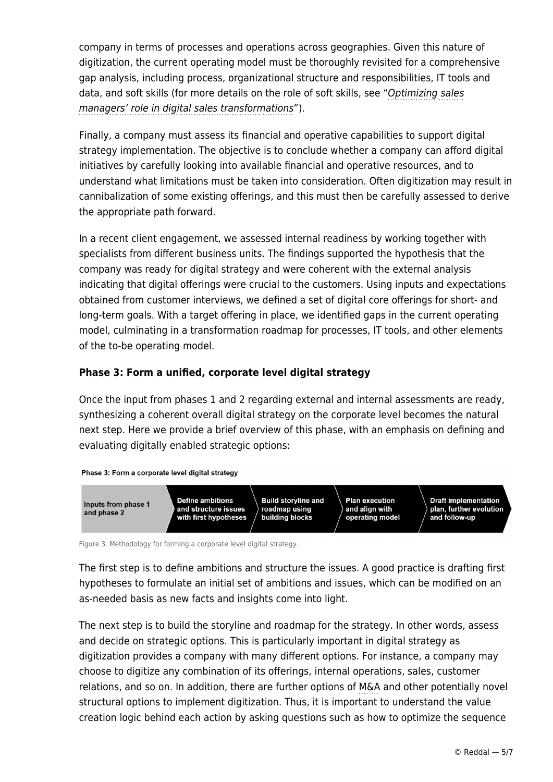company in terms of processes and operations across geographies. Given this nature of digitization, the current operating model must be thoroughly revisited for a comprehensive gap analysis, including process, organizational structure and responsibilities, IT tools and data, and soft skills (for more details on the role of soft skills, see "[Optimizing sales](http://www.reddal.com/insights/optimizing-sales-managers-role-and-performance-during-a-digital-sales-transformation/) [managers' role in digital sales transformations](http://www.reddal.com/insights/optimizing-sales-managers-role-and-performance-during-a-digital-sales-transformation/)").

Finally, a company must assess its financial and operative capabilities to support digital strategy implementation. The objective is to conclude whether a company can afford digital initiatives by carefully looking into available financial and operative resources, and to understand what limitations must be taken into consideration. Often digitization may result in cannibalization of some existing offerings, and this must then be carefully assessed to derive the appropriate path forward.

In a recent client engagement, we assessed internal readiness by working together with specialists from different business units. The findings supported the hypothesis that the company was ready for digital strategy and were coherent with the external analysis indicating that digital offerings were crucial to the customers. Using inputs and expectations obtained from customer interviews, we defined a set of digital core offerings for short- and long-term goals. With a target offering in place, we identified gaps in the current operating model, culminating in a transformation roadmap for processes, IT tools, and other elements of the to-be operating model.

## **Phase 3: Form a unified, corporate level digital strategy**

Once the input from phases 1 and 2 regarding external and internal assessments are ready, synthesizing a coherent overall digital strategy on the corporate level becomes the natural next step. Here we provide a brief overview of this phase, with an emphasis on defining and evaluating digitally enabled strategic options:

#### Phase 3: Form a corporate level digital strategy



Figure 3. Methodology for forming a corporate level digital strategy.

The first step is to define ambitions and structure the issues. A good practice is drafting first hypotheses to formulate an initial set of ambitions and issues, which can be modified on an as-needed basis as new facts and insights come into light.

The next step is to build the storyline and roadmap for the strategy. In other words, assess and decide on strategic options. This is particularly important in digital strategy as digitization provides a company with many different options. For instance, a company may choose to digitize any combination of its offerings, internal operations, sales, customer relations, and so on. In addition, there are further options of [M&A](https://www.reddal.com/expertise/ma-and-divestments/) and other potentially novel structural options to implement digitization. Thus, it is important to understand the value creation logic behind each action by asking questions such as how to optimize the sequence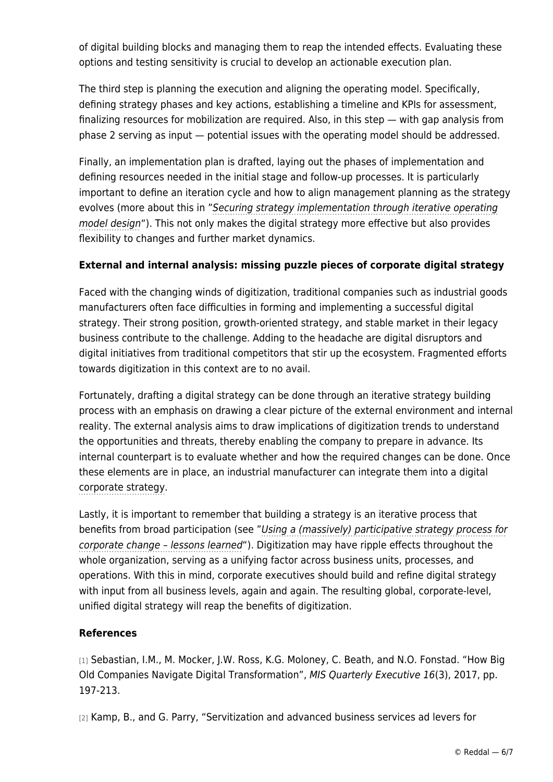of digital building blocks and managing them to reap the intended effects. Evaluating these options and testing sensitivity is crucial to develop an actionable execution plan.

The third step is planning the execution and aligning the operating model. Specifically, defining strategy phases and key actions, establishing a timeline and KPIs for assessment, finalizing resources for mobilization are required. Also, in this step — with gap analysis from phase 2 serving as input — potential issues with the operating model should be addressed.

Finally, an implementation plan is drafted, laying out the phases of implementation and defining resources needed in the initial stage and follow-up processes. It is particularly important to define an iteration cycle and how to align management planning as the strategy evolves (more about this in "[Securing strategy implementation through iterative operating](http://www.reddal.com/insights/securing-strategy-implementation-through-iterative-operating-model-design/) [model design](http://www.reddal.com/insights/securing-strategy-implementation-through-iterative-operating-model-design/)"). This not only makes the digital strategy more effective but also provides flexibility to changes and further market dynamics.

# **External and internal analysis: missing puzzle pieces of corporate digital strategy**

Faced with the changing winds of digitization, traditional companies such as industrial goods manufacturers often face difficulties in forming and implementing a successful digital strategy. Their strong position, growth-oriented strategy, and stable market in their legacy business contribute to the challenge. Adding to the headache are digital disruptors and digital initiatives from traditional competitors that stir up the ecosystem. Fragmented efforts towards digitization in this context are to no avail.

Fortunately, drafting a digital strategy can be done through an iterative strategy building process with an emphasis on drawing a clear picture of the external environment and internal reality. The external analysis aims to draw implications of digitization trends to understand the opportunities and threats, thereby enabling the company to prepare in advance. Its internal counterpart is to evaluate whether and how the required changes can be done. Once these elements are in place, an industrial manufacturer can integrate them into a digital [corporate strategy](https://www.reddal.com/expertise/strategy/).

Lastly, it is important to remember that building a strategy is an iterative process that benefits from broad participation (see "[Using a \(massively\) participative strategy process for](http://www.reddal.com/insights/using-a-massively-participative-strategy-process-for-corporate-change-lessons-learned/) [corporate change – lessons learned](http://www.reddal.com/insights/using-a-massively-participative-strategy-process-for-corporate-change-lessons-learned/)"). Digitization may have ripple effects throughout the whole organization, serving as a unifying factor across business units, processes, and operations. With this in mind, corporate executives should build and refine digital strategy with input from all business levels, again and again. The resulting global, corporate-level, unified digital strategy will reap the benefits of digitization.

# **References**

[1] Sebastian, I.M., M. Mocker, J.W. Ross, K.G. Moloney, C. Beath, and N.O. Fonstad. "How Big Old Companies Navigate Digital Transformation", MIS Quarterly Executive 16(3), 2017, pp. 197-213.

[2] Kamp, B., and G. Parry, "Servitization and advanced business services ad levers for